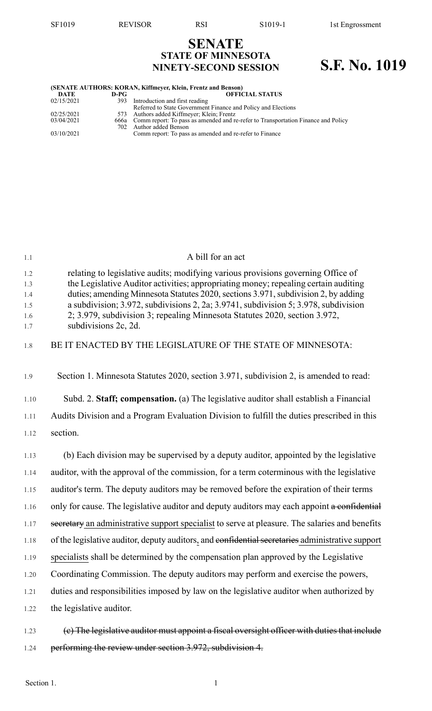# **SENATE STATE OF MINNESOTA NINETY-SECOND SESSION S.F. No. 1019**

| (SENATE AUTHORS: KORAN, Kiffmeyer, Klein, Frentz and Benson) |      |                                                                                        |  |
|--------------------------------------------------------------|------|----------------------------------------------------------------------------------------|--|
| DATE                                                         | D-PG | <b>OFFICIAL STATUS</b>                                                                 |  |
| 02/15/2021                                                   |      | 393 Introduction and first reading                                                     |  |
|                                                              |      | Referred to State Government Finance and Policy and Elections                          |  |
| 02/25/2021                                                   |      | 573 Authors added Kiffmeyer; Klein; Frentz                                             |  |
| 03/04/2021                                                   |      | 666a Comm report: To pass as amended and re-refer to Transportation Finance and Policy |  |
|                                                              |      | 702 Author added Benson                                                                |  |
| 03/10/2021                                                   |      | Comm report: To pass as amended and re-refer to Finance                                |  |
|                                                              |      |                                                                                        |  |

| 1.1                                    | A bill for an act                                                                                                                                                                                                                                                                                                                                                                                                                                          |
|----------------------------------------|------------------------------------------------------------------------------------------------------------------------------------------------------------------------------------------------------------------------------------------------------------------------------------------------------------------------------------------------------------------------------------------------------------------------------------------------------------|
| 1.2<br>1.3<br>1.4<br>1.5<br>1.6<br>1.7 | relating to legislative audits; modifying various provisions governing Office of<br>the Legislative Auditor activities; appropriating money; repealing certain auditing<br>duties; amending Minnesota Statutes 2020, sections 3.971, subdivision 2, by adding<br>a subdivision; 3.972, subdivisions 2, 2a; 3.9741, subdivision 5; 3.978, subdivision<br>2; 3.979, subdivision 3; repealing Minnesota Statutes 2020, section 3.972,<br>subdivisions 2c, 2d. |
| 1.8                                    | BE IT ENACTED BY THE LEGISLATURE OF THE STATE OF MINNESOTA:                                                                                                                                                                                                                                                                                                                                                                                                |
| 1.9                                    | Section 1. Minnesota Statutes 2020, section 3.971, subdivision 2, is amended to read:                                                                                                                                                                                                                                                                                                                                                                      |
| 1.10                                   | Subd. 2. Staff; compensation. (a) The legislative auditor shall establish a Financial                                                                                                                                                                                                                                                                                                                                                                      |
| 1.11                                   | Audits Division and a Program Evaluation Division to fulfill the duties prescribed in this                                                                                                                                                                                                                                                                                                                                                                 |
| 1.12                                   | section.                                                                                                                                                                                                                                                                                                                                                                                                                                                   |
| 1.13                                   | (b) Each division may be supervised by a deputy auditor, appointed by the legislative                                                                                                                                                                                                                                                                                                                                                                      |
| 1.14                                   | auditor, with the approval of the commission, for a term coterminous with the legislative                                                                                                                                                                                                                                                                                                                                                                  |
| 1.15                                   | auditor's term. The deputy auditors may be removed before the expiration of their terms                                                                                                                                                                                                                                                                                                                                                                    |
| 1.16                                   | only for cause. The legislative auditor and deputy auditors may each appoint a confidential                                                                                                                                                                                                                                                                                                                                                                |
| 1.17                                   | secretary an administrative support specialist to serve at pleasure. The salaries and benefits                                                                                                                                                                                                                                                                                                                                                             |
| 1.18                                   | of the legislative auditor, deputy auditors, and confidential secretaries administrative support                                                                                                                                                                                                                                                                                                                                                           |
| 1.19                                   | specialists shall be determined by the compensation plan approved by the Legislative                                                                                                                                                                                                                                                                                                                                                                       |
| 1.20                                   | Coordinating Commission. The deputy auditors may perform and exercise the powers,                                                                                                                                                                                                                                                                                                                                                                          |
| 1.21                                   | duties and responsibilities imposed by law on the legislative auditor when authorized by                                                                                                                                                                                                                                                                                                                                                                   |
| 1.22                                   | the legislative auditor.                                                                                                                                                                                                                                                                                                                                                                                                                                   |
| 1.23                                   | (e) The legislative auditor must appoint a fiscal oversight officer with duties that include                                                                                                                                                                                                                                                                                                                                                               |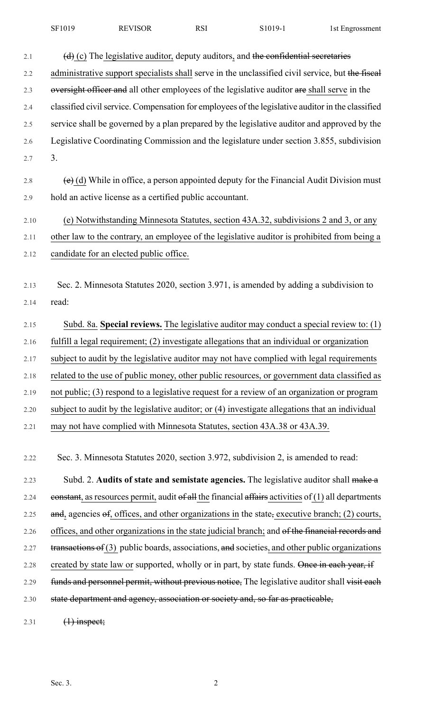| SF1019 | <b>REVISOR</b> | RSI | S1019-1 | 1st Engrossment |
|--------|----------------|-----|---------|-----------------|
|--------|----------------|-----|---------|-----------------|

| 2.1  | $(d)$ (c) The legislative auditor, deputy auditors, and the confidential secretaries                  |
|------|-------------------------------------------------------------------------------------------------------|
| 2.2  | administrative support specialists shall serve in the unclassified civil service, but the fiscal      |
| 2.3  | oversight officer and all other employees of the legislative auditor are shall serve in the           |
| 2.4  | classified civil service. Compensation for employees of the legislative auditor in the classified     |
| 2.5  | service shall be governed by a plan prepared by the legislative auditor and approved by the           |
| 2.6  | Legislative Coordinating Commission and the legislature under section 3.855, subdivision              |
| 2.7  | 3.                                                                                                    |
| 2.8  | $\overline{(e)}$ (d) While in office, a person appointed deputy for the Financial Audit Division must |
| 2.9  | hold an active license as a certified public accountant.                                              |
| 2.10 | (e) Notwithstanding Minnesota Statutes, section 43A.32, subdivisions 2 and 3, or any                  |
| 2.11 | other law to the contrary, an employee of the legislative auditor is prohibited from being a          |
| 2.12 | candidate for an elected public office.                                                               |
|      |                                                                                                       |
| 2.13 | Sec. 2. Minnesota Statutes 2020, section 3.971, is amended by adding a subdivision to                 |
| 2.14 | read:                                                                                                 |
| 2.15 | Subd. 8a. Special reviews. The legislative auditor may conduct a special review to: (1)               |
| 2.16 | fulfill a legal requirement; (2) investigate allegations that an individual or organization           |
| 2.17 | subject to audit by the legislative auditor may not have complied with legal requirements             |
| 2.18 | related to the use of public money, other public resources, or government data classified as          |
| 2.19 | not public; (3) respond to a legislative request for a review of an organization or program           |
| 2.20 | subject to audit by the legislative auditor; or (4) investigate allegations that an individual        |
| 2.21 | may not have complied with Minnesota Statutes, section 43A.38 or 43A.39.                              |
|      |                                                                                                       |
| 2.22 | Sec. 3. Minnesota Statutes 2020, section 3.972, subdivision 2, is amended to read:                    |
| 2.23 | Subd. 2. Audits of state and semistate agencies. The legislative auditor shall make a                 |
| 2.24 | eonstant, as resources permit, audit of all the financial affairs activities of $(1)$ all departments |
| 2.25 | and, agencies $\Theta$ , offices, and other organizations in the state, executive branch; (2) courts, |
| 2.26 | offices, and other organizations in the state judicial branch; and of the financial records and       |
| 2.27 | transactions of (3) public boards, associations, and societies, and other public organizations        |
| 2.28 | created by state law or supported, wholly or in part, by state funds. Once in each year, if           |

2.29 funds and personnel permit, without previous notice, The legislative auditor shall visit each 2.30 state department and agency, association or society and, so far as practicable,

2.31  $(1)$  inspect;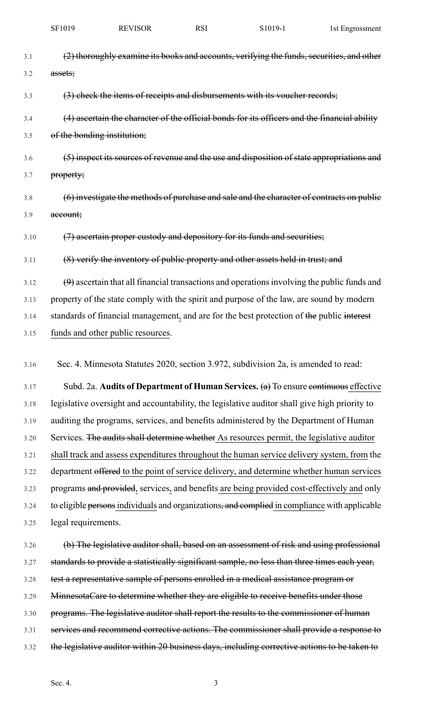| SF1019 | <b>REVISOR</b> | RSI | S <sub>1019</sub> - | 1st Engrossment |
|--------|----------------|-----|---------------------|-----------------|
|        |                |     |                     |                 |

| 3.1  | (2) thoroughly examine its books and accounts, verifying the funds, securities, and other     |
|------|-----------------------------------------------------------------------------------------------|
| 3.2  | assets;                                                                                       |
| 3.3  | (3) check the items of receipts and disbursements with its voucher records;                   |
| 3.4  | (4) ascertain the character of the official bonds for its officers and the financial ability  |
| 3.5  | of the bonding institution;                                                                   |
| 3.6  | (5) inspect its sources of revenue and the use and disposition of state appropriations and    |
| 3.7  | property;                                                                                     |
| 3.8  | (6) investigate the methods of purchase and sale and the character of contracts on public     |
| 3.9  | account;                                                                                      |
| 3.10 | (7) ascertain proper custody and depository for its funds and securities;                     |
| 3.11 | (8) verify the inventory of public property and other assets held in trust; and               |
| 3.12 | $(9)$ ascertain that all financial transactions and operations involving the public funds and |
| 3.13 | property of the state comply with the spirit and purpose of the law, are sound by modern      |
| 3.14 | standards of financial management, and are for the best protection of the public interest     |
| 3.15 | funds and other public resources.                                                             |
| 3.16 | Sec. 4. Minnesota Statutes 2020, section 3.972, subdivision 2a, is amended to read:           |
| 3.17 | Subd. 2a. Audits of Department of Human Services. $(a)$ To ensure continuous effective        |
| 3.18 | legislative oversight and accountability, the legislative auditor shall give high priority to |
| 3.19 | auditing the programs, services, and benefits administered by the Department of Human         |
| 3.20 | Services. The audits shall determine whether As resources permit, the legislative auditor     |
| 3.21 | shall track and assess expenditures throughout the human service delivery system, from the    |
| 3.22 | department offered to the point of service delivery, and determine whether human services     |
| 3.23 | programs and provided, services, and benefits are being provided cost-effectively and only    |
| 3.24 | to eligible persons individuals and organizations, and complied in compliance with applicable |
| 3.25 | legal requirements.                                                                           |
| 3.26 | (b) The legislative auditor shall, based on an assessment of risk and using professional      |
| 3.27 | standards to provide a statistically significant sample, no less than three times each year,  |
| 3.28 | test a representative sample of persons enrolled in a medical assistance program or           |
| 3.29 | MinnesotaCare to determine whether they are eligible to receive benefits under those          |
| 3.30 | programs. The legislative auditor shall report the results to the commissioner of human       |
| 3.31 | services and recommend corrective actions. The commissioner shall provide a response to       |

3.32 the legislative auditor within 20 business days, including corrective actions to be taken to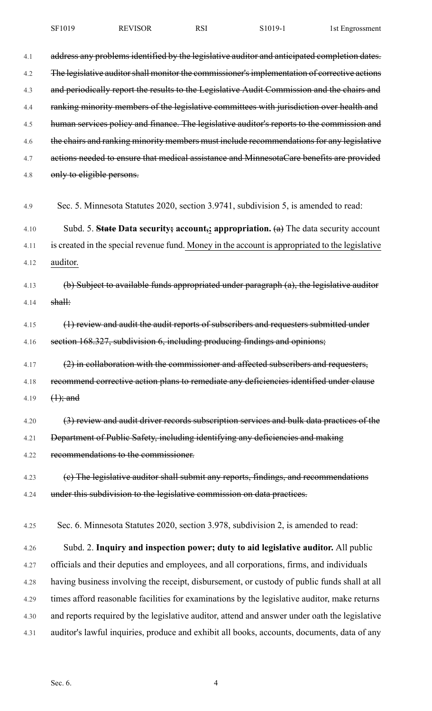4.1 address any problems identified by the legislative auditor and anticipated completion dates. 4.2 The legislative auditor shall monitor the commissioner's implementation of corrective actions 4.3 and periodically report the results to the Legislative Audit Commission and the chairs and 4.4 ranking minority members of the legislative committees with jurisdiction over health and 4.5 human services policy and finance. The legislative auditor's reports to the commission and 4.6 the chairs and ranking minority members must include recommendations for any legislative 4.7 actions needed to ensure that medical assistance and MinnesotaCare benefits are provided 4.8 only to eligible persons. 4.9 Sec. 5. Minnesota Statutes 2020, section 3.9741, subdivision 5, is amended to read: 4.10 Subd. 5. **State Data security; account,; appropriation.** (a) The data security account 4.11 is created in the special revenue fund. Money in the account is appropriated to the legislative 4.12 auditor. 4.13 (b) Subject to available funds appropriated under paragraph (a), the legislative auditor 4.14 shall: 4.15 (1) review and audit the audit reports of subscribers and requesters submitted under 4.16 section 168.327, subdivision 6, including producing findings and opinions; 4.17  $(2)$  in collaboration with the commissioner and affected subscribers and requesters, 4.18 recommend corrective action plans to remediate any deficiencies identified under clause 4.19  $(1)$ ; and 4.20 (3) review and audit driver records subscription services and bulk data practices of the 4.21 Department of Public Safety, including identifying any deficiencies and making 4.22 recommendations to the commissioner. 4.23 (e) The legislative auditor shall submit any reports, findings, and recommendations 4.24 under this subdivision to the legislative commission on data practices. 4.25 Sec. 6. Minnesota Statutes 2020, section 3.978, subdivision 2, is amended to read: 4.26 Subd. 2. **Inquiry and inspection power; duty to aid legislative auditor.** All public 4.27 officials and their deputies and employees, and all corporations, firms, and individuals 4.28 having business involving the receipt, disbursement, or custody of public funds shall at all 4.29 times afford reasonable facilities for examinations by the legislative auditor, make returns 4.30 and reports required by the legislative auditor, attend and answer under oath the legislative 4.31 auditor's lawful inquiries, produce and exhibit all books, accounts, documents, data of any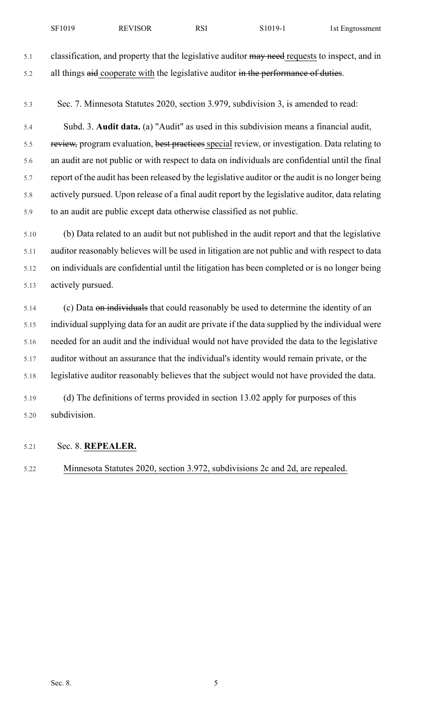5.1 classification, and property that the legislative auditor may need requests to inspect, and in 5.2 all things aid cooperate with the legislative auditor in the performance of duties.

5.3 Sec. 7. Minnesota Statutes 2020, section 3.979, subdivision 3, is amended to read:

5.4 Subd. 3. **Audit data.** (a) "Audit" as used in this subdivision means a financial audit, 5.5 review, program evaluation, best practices special review, or investigation. Data relating to 5.6 an audit are not public or with respect to data on individuals are confidential until the final 5.7 report of the audit has been released by the legislative auditor or the audit is no longer being 5.8 actively pursued. Upon release of a final audit report by the legislative auditor, data relating 5.9 to an audit are public except data otherwise classified as not public.

5.10 (b) Data related to an audit but not published in the audit report and that the legislative 5.11 auditor reasonably believes will be used in litigation are not public and with respect to data 5.12 on individuals are confidential until the litigation has been completed or is no longer being 5.13 actively pursued.

5.14 (c) Data on individuals that could reasonably be used to determine the identity of an 5.15 individual supplying data for an audit are private if the data supplied by the individual were 5.16 needed for an audit and the individual would not have provided the data to the legislative 5.17 auditor without an assurance that the individual's identity would remain private, or the 5.18 legislative auditor reasonably believes that the subject would not have provided the data.

5.19 (d) The definitions of terms provided in section 13.02 apply for purposes of this 5.20 subdivision.

## 5.21 Sec. 8. **REPEALER.**

5.22 Minnesota Statutes 2020, section 3.972, subdivisions 2c and 2d, are repealed.